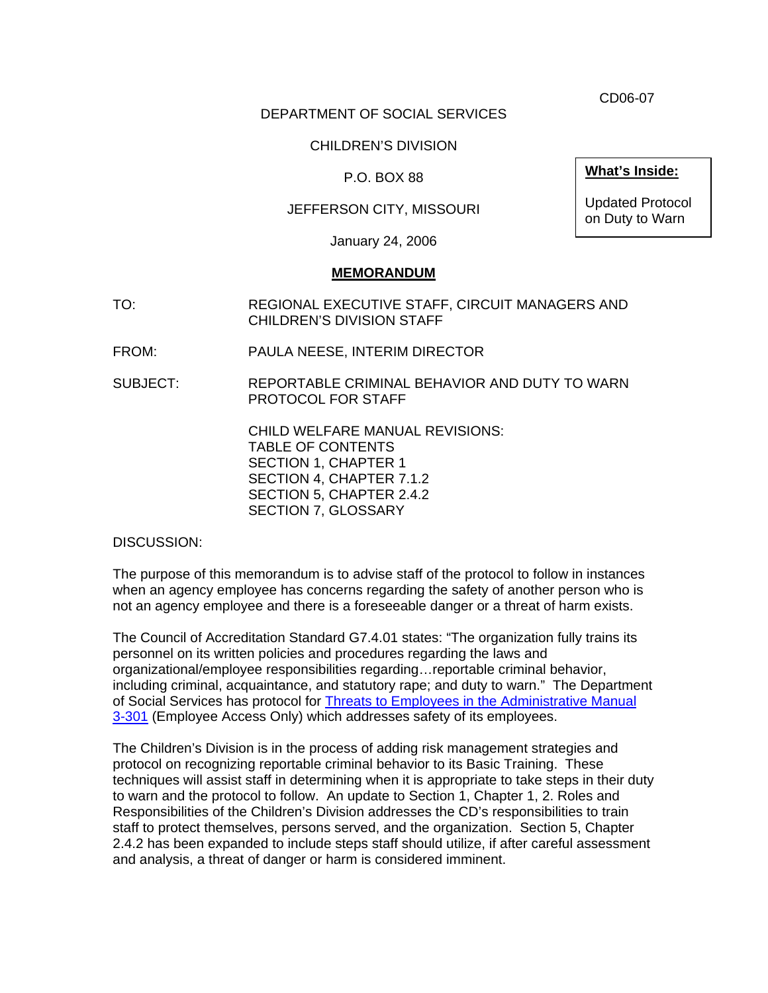CD06-07

## DEPARTMENT OF SOCIAL SERVICES

## CHILDREN'S DIVISION

## P.O. BOX 88

## JEFFERSON CITY, MISSOURI

January 24, 2006

#### **MEMORANDUM**

- TO: REGIONAL EXECUTIVE STAFF, CIRCUIT MANAGERS AND CHILDREN'S DIVISION STAFF
- FROM: PAULA NEESE, INTERIM DIRECTOR
- SUBJECT: REPORTABLE CRIMINAL BEHAVIOR AND DUTY TO WARN PROTOCOL FOR STAFF

 CHILD WELFARE MANUAL REVISIONS: TABLE OF CONTENTS SECTION 1, CHAPTER 1 SECTION 4, CHAPTER 7.1.2 SECTION 5, CHAPTER 2.4.2 SECTION 7, GLOSSARY

DISCUSSION:

The purpose of this memorandum is to advise staff of the protocol to follow in instances when an agency employee has concerns regarding the safety of another person who is not an agency employee and there is a foreseeable danger or a threat of harm exists.

The Council of Accreditation Standard G7.4.01 states: "The organization fully trains its personnel on its written policies and procedures regarding the laws and organizational/employee responsibilities regarding…reportable criminal behavior, including criminal, acquaintance, and statutory rape; and duty to warn." The Department of Social Services has protocol for [Threats to Employees in the Administrative Manual](http://dssweb/dpl/adman/POLICIES/3-301.pdf)  [3-301](http://dssweb/dpl/adman/POLICIES/3-301.pdf) (Employee Access Only) which addresses safety of its employees.

The Children's Division is in the process of adding risk management strategies and protocol on recognizing reportable criminal behavior to its Basic Training. These techniques will assist staff in determining when it is appropriate to take steps in their duty to warn and the protocol to follow. An update to Section 1, Chapter 1, 2. Roles and Responsibilities of the Children's Division addresses the CD's responsibilities to train staff to protect themselves, persons served, and the organization. Section 5, Chapter 2.4.2 has been expanded to include steps staff should utilize, if after careful assessment and analysis, a threat of danger or harm is considered imminent.

**What's Inside:**

Updated Protocol on Duty to Warn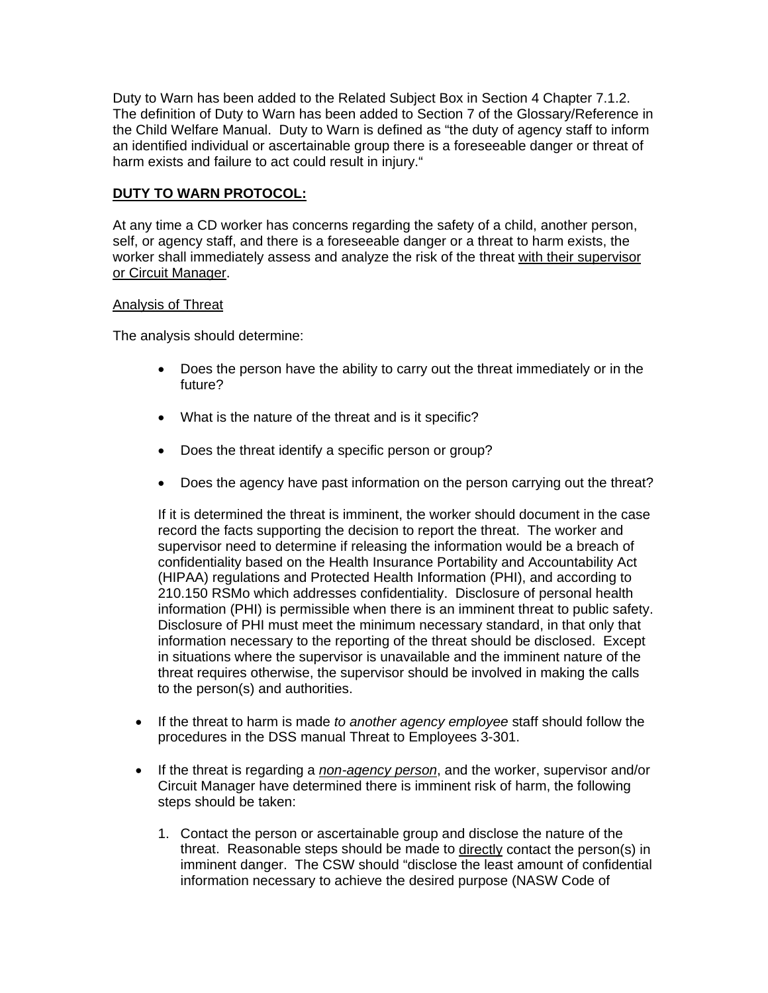Duty to Warn has been added to the Related Subject Box in Section 4 Chapter 7.1.2. The definition of Duty to Warn has been added to Section 7 of the Glossary/Reference in the Child Welfare Manual. Duty to Warn is defined as "the duty of agency staff to inform an identified individual or ascertainable group there is a foreseeable danger or threat of harm exists and failure to act could result in injury."

# **DUTY TO WARN PROTOCOL:**

At any time a CD worker has concerns regarding the safety of a child, another person, self, or agency staff, and there is a foreseeable danger or a threat to harm exists, the worker shall immediately assess and analyze the risk of the threat with their supervisor or Circuit Manager.

## Analysis of Threat

The analysis should determine:

- Does the person have the ability to carry out the threat immediately or in the future?
- What is the nature of the threat and is it specific?
- Does the threat identify a specific person or group?
- Does the agency have past information on the person carrying out the threat?

If it is determined the threat is imminent, the worker should document in the case record the facts supporting the decision to report the threat. The worker and supervisor need to determine if releasing the information would be a breach of confidentiality based on the Health Insurance Portability and Accountability Act (HIPAA) regulations and Protected Health Information (PHI), and according to 210.150 RSMo which addresses confidentiality. Disclosure of personal health information (PHI) is permissible when there is an imminent threat to public safety. Disclosure of PHI must meet the minimum necessary standard, in that only that information necessary to the reporting of the threat should be disclosed. Except in situations where the supervisor is unavailable and the imminent nature of the threat requires otherwise, the supervisor should be involved in making the calls to the person(s) and authorities.

- If the threat to harm is made *to another agency employee* staff should follow the procedures in the DSS manual Threat to Employees 3-301.
- If the threat is regarding a *non-agency person*, and the worker, supervisor and/or Circuit Manager have determined there is imminent risk of harm, the following steps should be taken:
	- 1. Contact the person or ascertainable group and disclose the nature of the threat. Reasonable steps should be made to directly contact the person(s) in imminent danger. The CSW should "disclose the least amount of confidential information necessary to achieve the desired purpose (NASW Code of